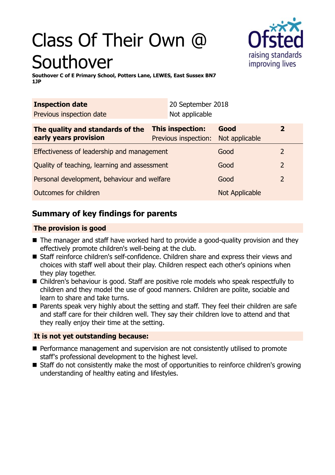# Class Of Their Own @ Southover



**Southover C of E Primary School, Potters Lane, LEWES, East Sussex BN7 1JP**

| <b>Inspection date</b>                                    |                                                 | 20 September 2018 |                        |                |
|-----------------------------------------------------------|-------------------------------------------------|-------------------|------------------------|----------------|
| Previous inspection date                                  |                                                 | Not applicable    |                        |                |
| The quality and standards of the<br>early years provision | <b>This inspection:</b><br>Previous inspection: |                   | Good<br>Not applicable | $\overline{2}$ |
| Effectiveness of leadership and management                |                                                 |                   | Good                   | 2              |
| Quality of teaching, learning and assessment              |                                                 |                   | Good                   | 2              |
| Personal development, behaviour and welfare               |                                                 |                   | Good                   | 2              |
| Outcomes for children                                     |                                                 |                   | Not Applicable         |                |

## **Summary of key findings for parents**

#### **The provision is good**

- $\blacksquare$  The manager and staff have worked hard to provide a good-quality provision and they effectively promote children's well-being at the club.
- Staff reinforce children's self-confidence. Children share and express their views and choices with staff well about their play. Children respect each other's opinions when they play together.
- Children's behaviour is good. Staff are positive role models who speak respectfully to children and they model the use of good manners. Children are polite, sociable and learn to share and take turns.
- Parents speak very highly about the setting and staff. They feel their children are safe and staff care for their children well. They say their children love to attend and that they really enjoy their time at the setting.

#### **It is not yet outstanding because:**

- **n** Performance management and supervision are not consistently utilised to promote staff's professional development to the highest level.
- Staff do not consistently make the most of opportunities to reinforce children's growing understanding of healthy eating and lifestyles.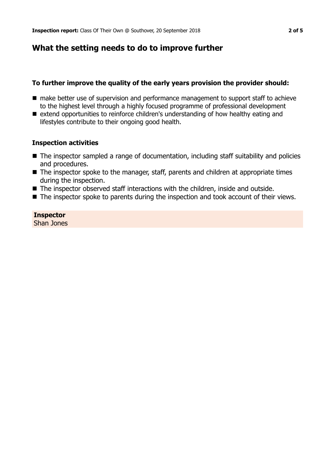## **What the setting needs to do to improve further**

#### **To further improve the quality of the early years provision the provider should:**

- make better use of supervision and performance management to support staff to achieve to the highest level through a highly focused programme of professional development
- extend opportunities to reinforce children's understanding of how healthy eating and lifestyles contribute to their ongoing good health.

#### **Inspection activities**

- $\blacksquare$  The inspector sampled a range of documentation, including staff suitability and policies and procedures.
- $\blacksquare$  The inspector spoke to the manager, staff, parents and children at appropriate times during the inspection.
- $\blacksquare$  The inspector observed staff interactions with the children, inside and outside.
- $\blacksquare$  The inspector spoke to parents during the inspection and took account of their views.

#### **Inspector**

Shan Jones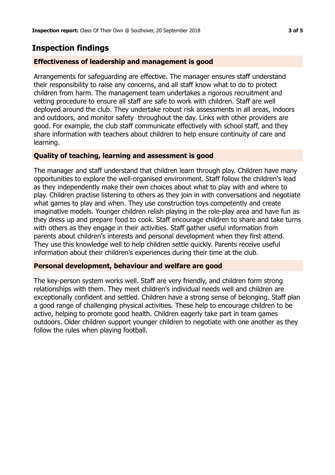## **Inspection findings**

#### **Effectiveness of leadership and management is good**

Arrangements for safeguarding are effective. The manager ensures staff understand their responsibility to raise any concerns, and all staff know what to do to protect children from harm. The management team undertakes a rigorous recruitment and vetting procedure to ensure all staff are safe to work with children. Staff are well deployed around the club. They undertake robust risk assessments in all areas, indoors and outdoors, and monitor safety throughout the day. Links with other providers are good. For example, the club staff communicate effectively with school staff, and they share information with teachers about children to help ensure continuity of care and learning.

#### **Quality of teaching, learning and assessment is good**

The manager and staff understand that children learn through play. Children have many opportunities to explore the well-organised environment. Staff follow the children's lead as they independently make their own choices about what to play with and where to play. Children practise listening to others as they join in with conversations and negotiate what games to play and when. They use construction toys competently and create imaginative models. Younger children relish playing in the role-play area and have fun as they dress up and prepare food to cook. Staff encourage children to share and take turns with others as they engage in their activities. Staff gather useful information from parents about children's interests and personal development when they first attend. They use this knowledge well to help children settle quickly. Parents receive useful information about their children's experiences during their time at the club.

#### **Personal development, behaviour and welfare are good**

The key-person system works well. Staff are very friendly, and children form strong relationships with them. They meet children's individual needs well and children are exceptionally confident and settled. Children have a strong sense of belonging. Staff plan a good range of challenging physical activities. These help to encourage children to be active, helping to promote good health. Children eagerly take part in team games outdoors. Older children support younger children to negotiate with one another as they follow the rules when playing football.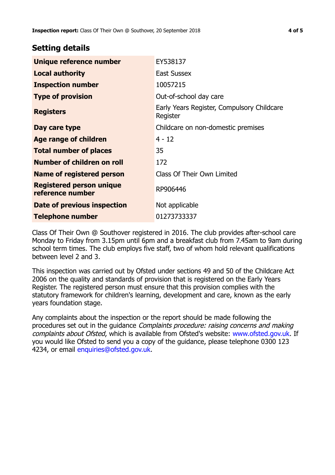### **Setting details**

| Unique reference number                             | EY538137                                               |
|-----------------------------------------------------|--------------------------------------------------------|
| <b>Local authority</b>                              | <b>East Sussex</b>                                     |
| <b>Inspection number</b>                            | 10057215                                               |
| <b>Type of provision</b>                            | Out-of-school day care                                 |
| <b>Registers</b>                                    | Early Years Register, Compulsory Childcare<br>Register |
| Day care type                                       | Childcare on non-domestic premises                     |
| <b>Age range of children</b>                        | $4 - 12$                                               |
| <b>Total number of places</b>                       | 35                                                     |
| Number of children on roll                          | 172                                                    |
| Name of registered person                           | Class Of Their Own Limited                             |
| <b>Registered person unique</b><br>reference number | RP906446                                               |
| Date of previous inspection                         | Not applicable                                         |
| Telephone number                                    | 01273733337                                            |

Class Of Their Own @ Southover registered in 2016. The club provides after-school care Monday to Friday from 3.15pm until 6pm and a breakfast club from 7.45am to 9am during school term times. The club employs five staff, two of whom hold relevant qualifications between level 2 and 3.

This inspection was carried out by Ofsted under sections 49 and 50 of the Childcare Act 2006 on the quality and standards of provision that is registered on the Early Years Register. The registered person must ensure that this provision complies with the statutory framework for children's learning, development and care, known as the early years foundation stage.

Any complaints about the inspection or the report should be made following the procedures set out in the quidance *Complaints procedure: raising concerns and making* complaints about Ofsted, which is available from Ofsted's website: www.ofsted.gov.uk. If you would like Ofsted to send you a copy of the guidance, please telephone 0300 123 4234, or email [enquiries@ofsted.gov.uk.](mailto:enquiries@ofsted.gov.uk)